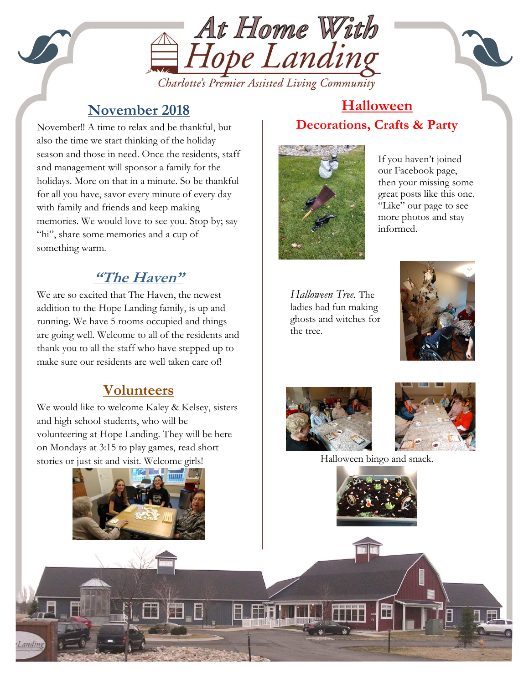

## **November 2018**

with family and friends and keep making<br>memories. We would love to see you. Stop November!! A time to relax and be thankful, but also the time we start thinking of the holiday season and those in need. Once the residents, staff and management will sponsor a family for the holidays. More on that in a minute. So be thankful for all you have, savor every minute of every day memories. We would love to see you. Stop by; say "hi", share some memories and a cup of something warm.

# **"The Haven"**

We are so excited that The Haven, the newest addition to the Hope Landing family, is up and running. We have 5 rooms occupied and things are going well. Welcome to all of the residents and thank you to all the staff who have stepped up to make sure our residents are well taken care of!

## **Volunteers**

We would like to welcome Kaley & Kelsey, sisters and high school students, who will be volunteering at Hope Landing. They will be here on Mondays at 3:15 to play games, read short stories or just sit and visit. Welcome girls!



#### **Halloween Decorations, Crafts & Party**



If you haven't joined our Facebook page, then your missing some great posts like this one. "Like" our page to see more photos and stay informed.

*Halloween Tree.* The ladies had fun making ghosts and witches for the tree.





J



Halloween bingo and snack.